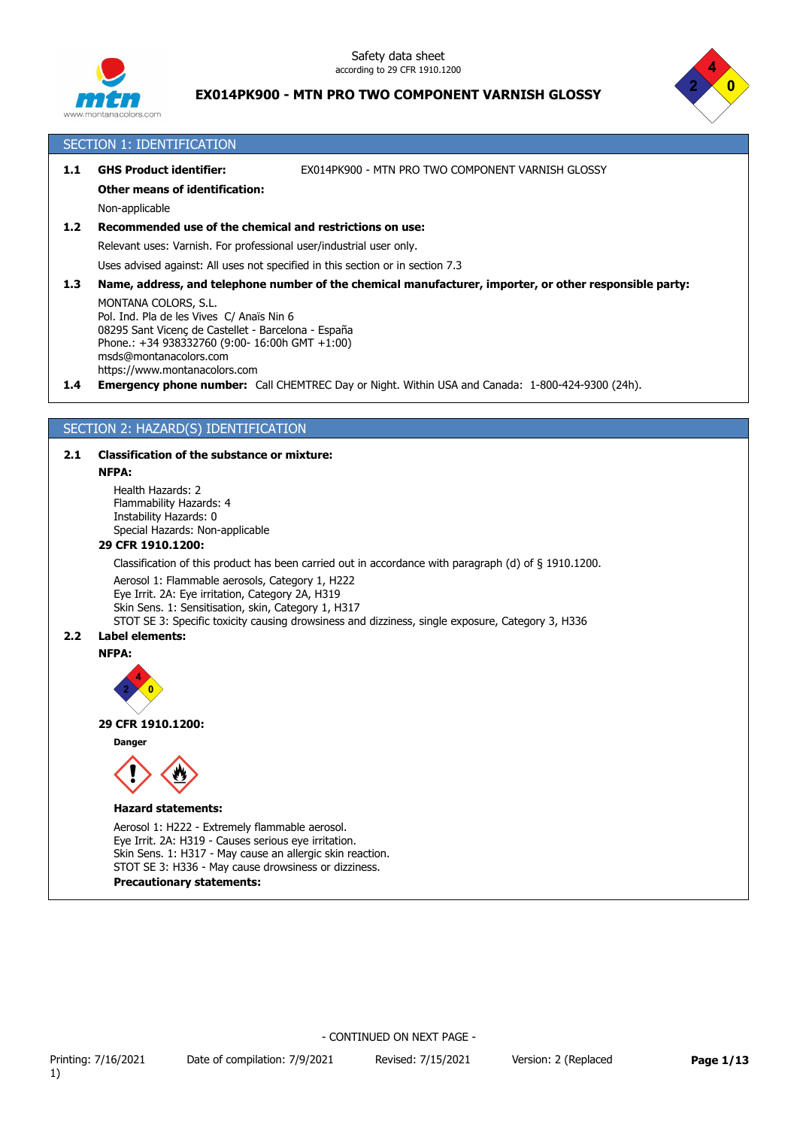



#### SECTION 1: IDENTIFICATION

# **1.1 GHS Product identifier:** EX014PK900 - MTN PRO TWO COMPONENT VARNISH GLOSSY

#### **Other means of identification:**

Non-applicable

#### **1.2 Recommended use of the chemical and restrictions on use:**

Relevant uses: Varnish. For professional user/industrial user only.

Uses advised against: All uses not specified in this section or in section 7.3

#### **1.3 Name, address, and telephone number of the chemical manufacturer, importer, or other responsible party:**

MONTANA COLORS, S.L. Pol. Ind. Pla de les Vives C/ Anaïs Nin 6 08295 Sant Vicenç de Castellet - Barcelona - España Phone.: +34 938332760 (9:00- 16:00h GMT +1:00) msds@montanacolors.com https://www.montanacolors.com

**1.4 Emergency phone number:** Call CHEMTREC Day or Night. Within USA and Canada: 1-800-424-9300 (24h).

#### SECTION 2: HAZARD(S) IDENTIFICATION

#### **2.1 Classification of the substance or mixture:**

#### **NFPA:**

Health Hazards: 2 Flammability Hazards: 4 Instability Hazards: 0 Special Hazards: Non-applicable

#### **29 CFR 1910.1200:**

Classification of this product has been carried out in accordance with paragraph (d) of § 1910.1200.

Aerosol 1: Flammable aerosols, Category 1, H222

Eye Irrit. 2A: Eye irritation, Category 2A, H319

Skin Sens. 1: Sensitisation, skin, Category 1, H317

STOT SE 3: Specific toxicity causing drowsiness and dizziness, single exposure, Category 3, H336

#### **2.2 Label elements:**





#### **29 CFR 1910.1200:**

**Danger**



#### **Hazard statements:**

Aerosol 1: H222 - Extremely flammable aerosol. Eye Irrit. 2A: H319 - Causes serious eye irritation. Skin Sens. 1: H317 - May cause an allergic skin reaction. STOT SE 3: H336 - May cause drowsiness or dizziness.

#### **Precautionary statements:**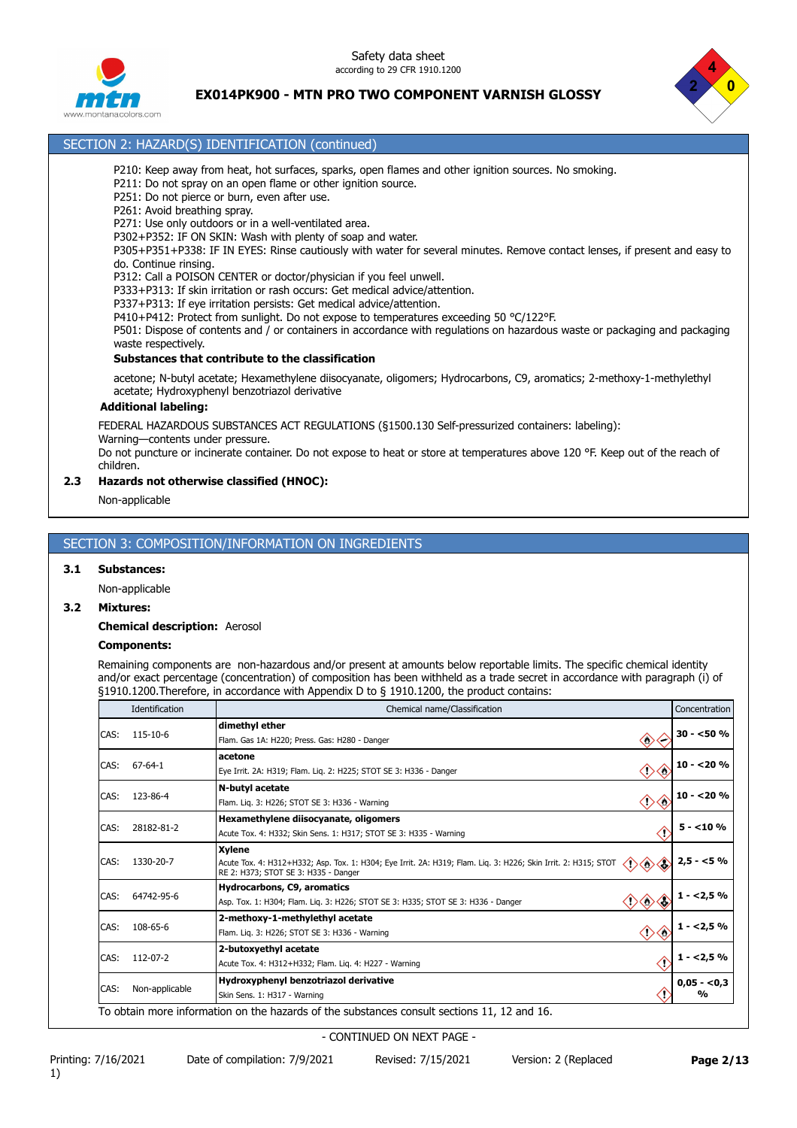Safety data sheet according to 29 CFR 1910.1200



# **EX014PK900 - MTN PRO TWO COMPONENT VARNISH GLOSSY**



# rs.com

# SECTION 2: HAZARD(S) IDENTIFICATION (continued)

- P210: Keep away from heat, hot surfaces, sparks, open flames and other ignition sources. No smoking.
- P211: Do not spray on an open flame or other ignition source.
- P251: Do not pierce or burn, even after use.
- P261: Avoid breathing spray.
- P271: Use only outdoors or in a well-ventilated area.
- P302+P352: IF ON SKIN: Wash with plenty of soap and water.

P305+P351+P338: IF IN EYES: Rinse cautiously with water for several minutes. Remove contact lenses, if present and easy to do. Continue rinsing.

- P312: Call a POISON CENTER or doctor/physician if you feel unwell.
- P333+P313: If skin irritation or rash occurs: Get medical advice/attention.
- P337+P313: If eye irritation persists: Get medical advice/attention.
- P410+P412: Protect from sunlight. Do not expose to temperatures exceeding 50 °C/122°F.

P501: Dispose of contents and / or containers in accordance with regulations on hazardous waste or packaging and packaging waste respectively.

#### **Substances that contribute to the classification**

acetone; N-butyl acetate; Hexamethylene diisocyanate, oligomers; Hydrocarbons, C9, aromatics; 2-methoxy-1-methylethyl acetate; Hydroxyphenyl benzotriazol derivative

#### **Additional labeling:**

FEDERAL HAZARDOUS SUBSTANCES ACT REGULATIONS (§1500.130 Self-pressurized containers: labeling):

Warning—contents under pressure.

Do not puncture or incinerate container. Do not expose to heat or store at temperatures above 120 °F. Keep out of the reach of children.

#### **2.3 Hazards not otherwise classified (HNOC):**

Non-applicable

#### SECTION 3: COMPOSITION/INFORMATION ON INGREDIENTS

#### **3.1 Substances:**

Non-applicable

#### **3.2 Mixtures:**

#### **Chemical description:** Aerosol

#### **Components:**

Remaining components are non-hazardous and/or present at amounts below reportable limits. The specific chemical identity and/or exact percentage (concentration) of composition has been withheld as a trade secret in accordance with paragraph (i) of §1910.1200.Therefore, in accordance with Appendix D to § 1910.1200, the product contains:

| Identification                                                                                          | Chemical name/Classification                                                                                                                                                   | Concentration                                  |
|---------------------------------------------------------------------------------------------------------|--------------------------------------------------------------------------------------------------------------------------------------------------------------------------------|------------------------------------------------|
| 115-10-6                                                                                                | dimethyl ether<br>$\langle \rangle$<br>Flam. Gas 1A: H220; Press. Gas: H280 - Danger                                                                                           | $30 - 50 \%$                                   |
| 67-64-1                                                                                                 | acetone<br>$\curvearrowleft$<br>〈!〉<br>Eye Irrit. 2A: H319; Flam. Lig. 2: H225; STOT SE 3: H336 - Danger                                                                       | $10 - 20%$                                     |
| 123-86-4                                                                                                | N-butyl acetate<br>◇◇<br>Flam. Lig. 3: H226; STOT SE 3: H336 - Warning                                                                                                         | $10 - 20%$                                     |
| 28182-81-2                                                                                              | Hexamethylene diisocyanate, oligomers<br>Acute Tox. 4: H332; Skin Sens. 1: H317; STOT SE 3: H335 - Warning                                                                     | $5 - 10%$                                      |
| 1330-20-7                                                                                               | <b>Xylene</b><br>◇◇◇<br>Acute Tox. 4: H312+H332; Asp. Tox. 1: H304; Eye Irrit. 2A: H319; Flam. Liq. 3: H226; Skin Irrit. 2: H315; STOT<br>RE 2: H373; STOT SE 3: H335 - Danger | $2,5 - 5%$                                     |
| 64742-95-6                                                                                              | <b>Hydrocarbons, C9, aromatics</b><br>$1 - 2,5%$<br>Asp. Tox. 1: H304; Flam. Lig. 3: H226; STOT SE 3: H335; STOT SE 3: H336 - Danger                                           |                                                |
| 108-65-6                                                                                                | 2-methoxy-1-methylethyl acetate<br>Flam. Lig. 3: H226; STOT SE 3: H336 - Warning                                                                                               | $1 - 2,5%$                                     |
| 2-butoxyethyl acetate<br>CAS:<br>112-07-2<br>Œ<br>Acute Tox. 4: H312+H332; Flam. Lig. 4: H227 - Warning |                                                                                                                                                                                | $1 - 2,5%$                                     |
| Non-applicable                                                                                          | Hydroxyphenyl benzotriazol derivative<br>Skin Sens. 1: H317 - Warning                                                                                                          | $0,05 - 0,3$<br>%                              |
|                                                                                                         |                                                                                                                                                                                | $\diamondsuit \diamondsuit \diamondsuit$<br>◇◇ |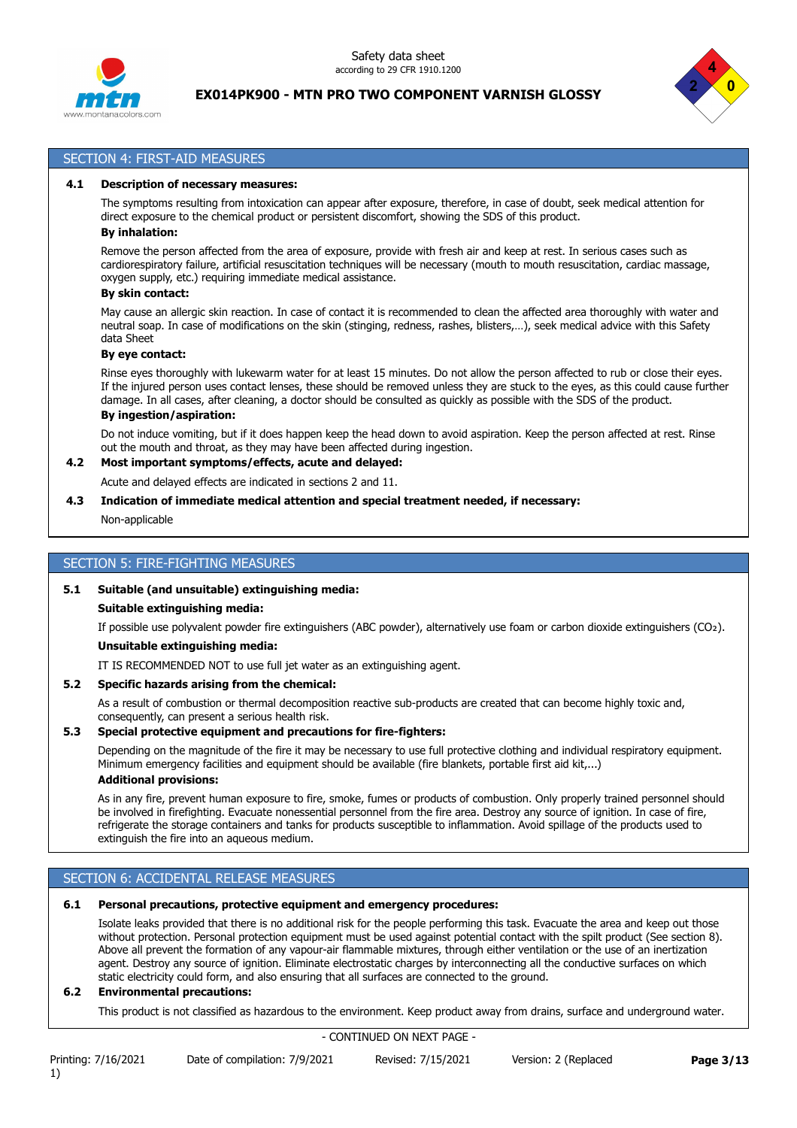



#### SECTION 4: FIRST-AID MEASURES

#### **4.1 Description of necessary measures:**

The symptoms resulting from intoxication can appear after exposure, therefore, in case of doubt, seek medical attention for direct exposure to the chemical product or persistent discomfort, showing the SDS of this product.

# **By inhalation:**

Remove the person affected from the area of exposure, provide with fresh air and keep at rest. In serious cases such as cardiorespiratory failure, artificial resuscitation techniques will be necessary (mouth to mouth resuscitation, cardiac massage, oxygen supply, etc.) requiring immediate medical assistance.

#### **By skin contact:**

May cause an allergic skin reaction. In case of contact it is recommended to clean the affected area thoroughly with water and neutral soap. In case of modifications on the skin (stinging, redness, rashes, blisters,…), seek medical advice with this Safety data Sheet

#### **By eye contact:**

Rinse eyes thoroughly with lukewarm water for at least 15 minutes. Do not allow the person affected to rub or close their eyes. If the injured person uses contact lenses, these should be removed unless they are stuck to the eyes, as this could cause further damage. In all cases, after cleaning, a doctor should be consulted as quickly as possible with the SDS of the product. **By ingestion/aspiration:**

Do not induce vomiting, but if it does happen keep the head down to avoid aspiration. Keep the person affected at rest. Rinse out the mouth and throat, as they may have been affected during ingestion.

#### **4.2 Most important symptoms/effects, acute and delayed:**

Acute and delayed effects are indicated in sections 2 and 11.

#### **4.3 Indication of immediate medical attention and special treatment needed, if necessary:**

Non-applicable

#### SECTION 5: FIRE-FIGHTING MEASURES

#### **5.1 Suitable (and unsuitable) extinguishing media:**

#### **Suitable extinguishing media:**

If possible use polyvalent powder fire extinguishers (ABC powder), alternatively use foam or carbon dioxide extinguishers (CO₂). **Unsuitable extinguishing media:**

IT IS RECOMMENDED NOT to use full jet water as an extinguishing agent.

#### **5.2 Specific hazards arising from the chemical:**

As a result of combustion or thermal decomposition reactive sub-products are created that can become highly toxic and, consequently, can present a serious health risk.

#### **5.3 Special protective equipment and precautions for fire-fighters:**

Depending on the magnitude of the fire it may be necessary to use full protective clothing and individual respiratory equipment. Minimum emergency facilities and equipment should be available (fire blankets, portable first aid kit,...) **Additional provisions:**

As in any fire, prevent human exposure to fire, smoke, fumes or products of combustion. Only properly trained personnel should be involved in firefighting. Evacuate nonessential personnel from the fire area. Destroy any source of ignition. In case of fire, refrigerate the storage containers and tanks for products susceptible to inflammation. Avoid spillage of the products used to extinguish the fire into an aqueous medium.

# SECTION 6: ACCIDENTAL RELEASE MEASURES

#### **6.1 Personal precautions, protective equipment and emergency procedures:**

Isolate leaks provided that there is no additional risk for the people performing this task. Evacuate the area and keep out those without protection. Personal protection equipment must be used against potential contact with the spilt product (See section 8). Above all prevent the formation of any vapour-air flammable mixtures, through either ventilation or the use of an inertization agent. Destroy any source of ignition. Eliminate electrostatic charges by interconnecting all the conductive surfaces on which static electricity could form, and also ensuring that all surfaces are connected to the ground.

#### **6.2 Environmental precautions:**

This product is not classified as hazardous to the environment. Keep product away from drains, surface and underground water.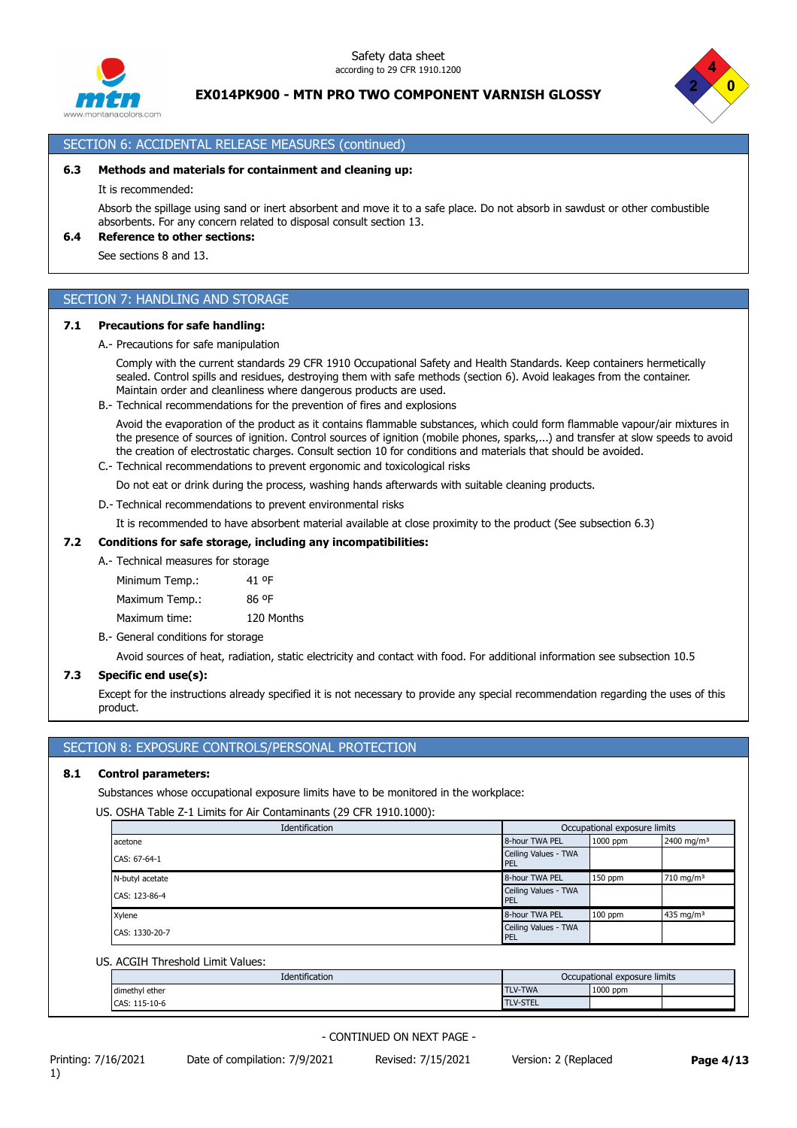





# SECTION 6: ACCIDENTAL RELEASE MEASURES (continued) **6.3 Methods and materials for containment and cleaning up:**

#### It is recommended:

Absorb the spillage using sand or inert absorbent and move it to a safe place. Do not absorb in sawdust or other combustible absorbents. For any concern related to disposal consult section 13.

#### **6.4 Reference to other sections:**

See sections 8 and 13.

## SECTION 7: HANDLING AND STORAGE

#### **7.1 Precautions for safe handling:**

A.- Precautions for safe manipulation

Comply with the current standards 29 CFR 1910 Occupational Safety and Health Standards. Keep containers hermetically sealed. Control spills and residues, destroying them with safe methods (section 6). Avoid leakages from the container. Maintain order and cleanliness where dangerous products are used.

B.- Technical recommendations for the prevention of fires and explosions

Avoid the evaporation of the product as it contains flammable substances, which could form flammable vapour/air mixtures in the presence of sources of ignition. Control sources of ignition (mobile phones, sparks,...) and transfer at slow speeds to avoid the creation of electrostatic charges. Consult section 10 for conditions and materials that should be avoided.

C.- Technical recommendations to prevent ergonomic and toxicological risks

Do not eat or drink during the process, washing hands afterwards with suitable cleaning products.

D.- Technical recommendations to prevent environmental risks

It is recommended to have absorbent material available at close proximity to the product (See subsection 6.3)

#### **7.2 Conditions for safe storage, including any incompatibilities:**

A.- Technical measures for storage

Minimum Temp.: 41 ºF Maximum Temp.: 86 ºF Maximum time: 120 Months

B.- General conditions for storage

Avoid sources of heat, radiation, static electricity and contact with food. For additional information see subsection 10.5

#### **7.3 Specific end use(s):**

Except for the instructions already specified it is not necessary to provide any special recommendation regarding the uses of this product.

# SECTION 8: EXPOSURE CONTROLS/PERSONAL PROTECTION

#### **8.1 Control parameters:**

Substances whose occupational exposure limits have to be monitored in the workplace:

US. OSHA Table Z-1 Limits for Air Contaminants (29 CFR 1910.1000):

| Identification  |                                    | Occupational exposure limits |                        |
|-----------------|------------------------------------|------------------------------|------------------------|
| acetone         | 8-hour TWA PEL                     | 1000 ppm                     | 2400 mg/m <sup>3</sup> |
| CAS: 67-64-1    | Ceiling Values - TWA<br><b>PEL</b> |                              |                        |
| N-butyl acetate | 8-hour TWA PEL                     | $150$ ppm                    | 710 mg/m <sup>3</sup>  |
| CAS: 123-86-4   | Ceiling Values - TWA<br><b>PEL</b> |                              |                        |
| Xylene          | 8-hour TWA PEL                     | $100$ ppm                    | 435 mg/m <sup>3</sup>  |
| CAS: 1330-20-7  | Ceiling Values - TWA<br><b>PEL</b> |                              |                        |

#### US. ACGIH Threshold Limit Values:

| Identification     |                 | Occupational exposure limits |  |
|--------------------|-----------------|------------------------------|--|
| dimethyl ether     | TLV-TWA         | 1000 ppm                     |  |
| $115-10-6$<br>CAS: | <b>TLV-STEL</b> |                              |  |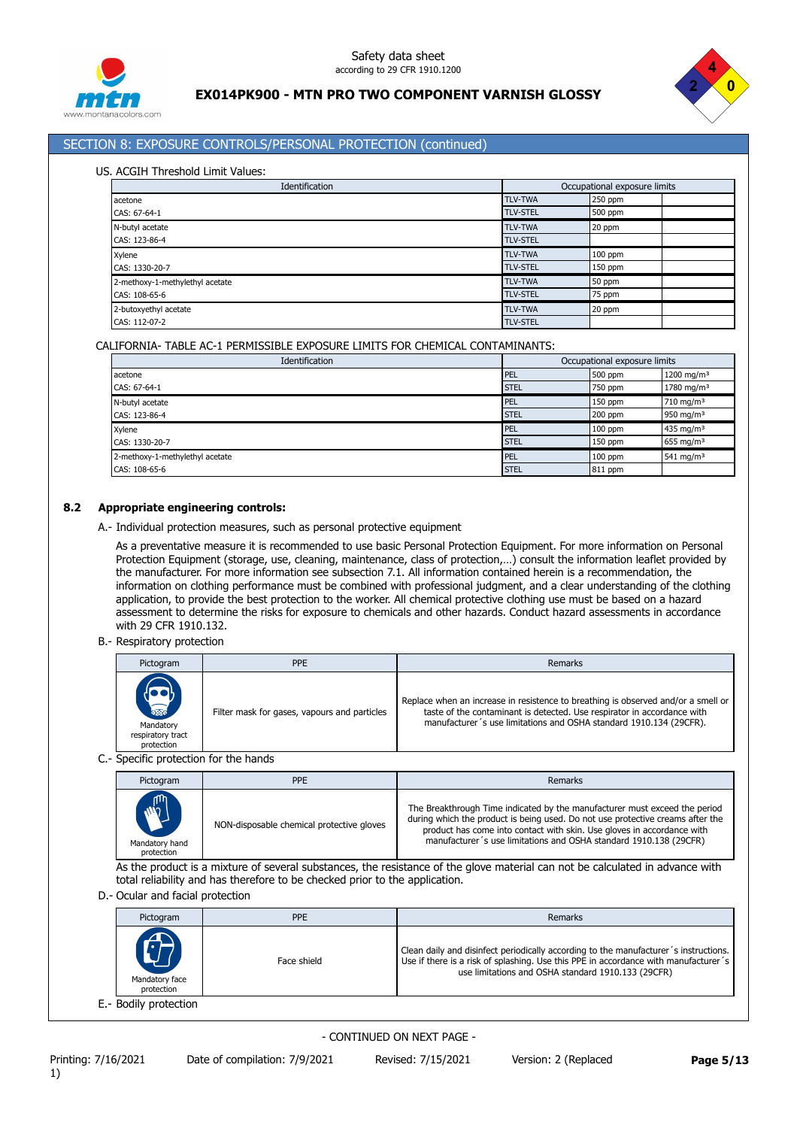



# SECTION 8: EXPOSURE CONTROLS/PERSONAL PROTECTION (continued)

#### US. ACGIH Threshold Limit Values:

| Identification                  |                 | Occupational exposure limits |  |
|---------------------------------|-----------------|------------------------------|--|
| acetone                         | <b>TLV-TWA</b>  | 250 ppm                      |  |
| CAS: 67-64-1                    | <b>TLV-STEL</b> | 500 ppm                      |  |
| N-butyl acetate                 | <b>TLV-TWA</b>  | 20 ppm                       |  |
| CAS: 123-86-4                   | <b>TLV-STEL</b> |                              |  |
| Xylene                          | <b>TLV-TWA</b>  | $100$ ppm                    |  |
| CAS: 1330-20-7                  | <b>TLV-STEL</b> | $150$ ppm                    |  |
| 2-methoxy-1-methylethyl acetate | <b>TLV-TWA</b>  | 50 ppm                       |  |
| CAS: 108-65-6                   | <b>TLV-STEL</b> | 75 ppm                       |  |
| 2-butoxyethyl acetate           | <b>TLV-TWA</b>  | 20 ppm                       |  |
| CAS: 112-07-2                   | <b>TLV-STEL</b> |                              |  |

#### CALIFORNIA- TABLE AC-1 PERMISSIBLE EXPOSURE LIMITS FOR CHEMICAL CONTAMINANTS:

| Identification                  |             | Occupational exposure limits |                        |
|---------------------------------|-------------|------------------------------|------------------------|
| acetone                         | PEL         | 500 ppm                      | 1200 mg/m <sup>3</sup> |
| CAS: 67-64-1                    | <b>STEL</b> | 750 ppm                      | 1780 mg/m <sup>3</sup> |
| N-butyl acetate                 | <b>PEL</b>  | $150$ ppm                    | $710 \; \text{mg/m}^3$ |
| CAS: 123-86-4                   | <b>STEL</b> | 200 ppm                      | 950 mg/m $3$           |
| Xylene                          | <b>PEL</b>  | $100$ ppm                    | 435 mg/m <sup>3</sup>  |
| CAS: 1330-20-7                  | <b>STEL</b> | $150$ ppm                    | 655 mg/m $3$           |
| 2-methoxy-1-methylethyl acetate | PEL         | $100$ ppm                    | 541 mg/m <sup>3</sup>  |
| CAS: 108-65-6                   | <b>STEL</b> | 811 ppm                      |                        |

#### **8.2 Appropriate engineering controls:**

A.- Individual protection measures, such as personal protective equipment

As a preventative measure it is recommended to use basic Personal Protection Equipment. For more information on Personal Protection Equipment (storage, use, cleaning, maintenance, class of protection,…) consult the information leaflet provided by the manufacturer. For more information see subsection 7.1. All information contained herein is a recommendation, the information on clothing performance must be combined with professional judgment, and a clear understanding of the clothing application, to provide the best protection to the worker. All chemical protective clothing use must be based on a hazard assessment to determine the risks for exposure to chemicals and other hazards. Conduct hazard assessments in accordance with 29 CFR 1910.132.

#### B.- Respiratory protection

| Pictogram                                                                                                                                                                                                                      | <b>PPE</b>                                   | Remarks                                                                                                                                                                                                                            |
|--------------------------------------------------------------------------------------------------------------------------------------------------------------------------------------------------------------------------------|----------------------------------------------|------------------------------------------------------------------------------------------------------------------------------------------------------------------------------------------------------------------------------------|
| 3<br>Mandatory<br>respiratory tract<br>protection                                                                                                                                                                              | Filter mask for gases, vapours and particles | Replace when an increase in resistence to breathing is observed and/or a smell or<br>taste of the contaminant is detected. Use respirator in accordance with<br>manufacturer's use limitations and OSHA standard 1910.134 (29CFR). |
| Consider the constant of the Constitution of the constant of the constant of the constant of the constant of the constant of the constant of the constant of the constant of the constant of the constant of the constant of t |                                              |                                                                                                                                                                                                                                    |

#### C.- Specific protection for the hands

| Pictogram                                   | <b>PPE</b>                                | Remarks                                                                                                                                                                                                                                                                                                     |
|---------------------------------------------|-------------------------------------------|-------------------------------------------------------------------------------------------------------------------------------------------------------------------------------------------------------------------------------------------------------------------------------------------------------------|
| <b>MART</b><br>Mandatory hand<br>protection | NON-disposable chemical protective gloves | The Breakthrough Time indicated by the manufacturer must exceed the period<br>during which the product is being used. Do not use protective creams after the<br>product has come into contact with skin. Use gloves in accordance with<br>manufacturer's use limitations and OSHA standard 1910.138 (29CFR) |

As the product is a mixture of several substances, the resistance of the glove material can not be calculated in advance with total reliability and has therefore to be checked prior to the application.

D.- Ocular and facial protection

| Pictogram                    | <b>PPE</b>  | Remarks                                                                                                                                                                                                                           |
|------------------------------|-------------|-----------------------------------------------------------------------------------------------------------------------------------------------------------------------------------------------------------------------------------|
| Mandatory face<br>protection | Face shield | Clean daily and disinfect periodically according to the manufacturer's instructions.<br>Use if there is a risk of splashing. Use this PPE in accordance with manufacturer's<br>use limitations and OSHA standard 1910.133 (29CFR) |
| E.- Bodily protection        |             |                                                                                                                                                                                                                                   |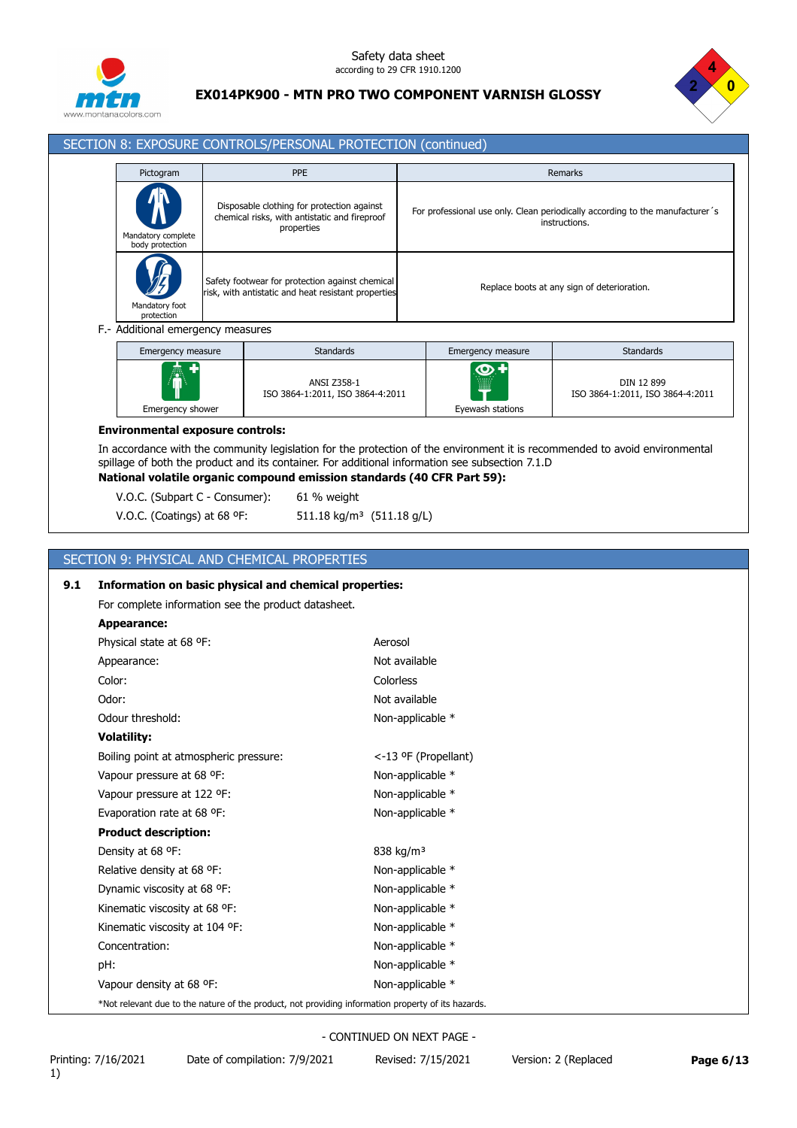



#### SECTION 8: EXPOSURE CONTROLS/PERSONAL PROTECTION (continued)

| Pictogram                                  | <b>PPE</b>                                                                                                | <b>Remarks</b>                                                                                 |
|--------------------------------------------|-----------------------------------------------------------------------------------------------------------|------------------------------------------------------------------------------------------------|
| 小<br>Mandatory complete<br>body protection | Disposable clothing for protection against<br>chemical risks, with antistatic and fireproof<br>properties | For professional use only. Clean periodically according to the manufacturer's<br>instructions. |
| Mandatory foot<br>protection               | Safety footwear for protection against chemical<br>risk, with antistatic and heat resistant properties    | Replace boots at any sign of deterioration.                                                    |

| Emergency measure | <b>Standards</b>                                       | Emergency measure             | <b>Standards</b>                               |
|-------------------|--------------------------------------------------------|-------------------------------|------------------------------------------------|
| Á                 | <b>ANSI Z358-1</b><br>ISO 3864-1:2011, ISO 3864-4:2011 | $\bullet$<br>.<br>.<br><br>mm | DIN 12 899<br>ISO 3864-1:2011, ISO 3864-4:2011 |
| Emergency shower  |                                                        | Eyewash stations              |                                                |

#### **Environmental exposure controls:**

In accordance with the community legislation for the protection of the environment it is recommended to avoid environmental spillage of both the product and its container. For additional information see subsection 7.1.D **National volatile organic compound emission standards (40 CFR Part 59):**

V.O.C. (Subpart C - Consumer): 61 % weight

V.O.C. (Coatings) at 68 °F: 511.18 kg/m<sup>3</sup> (511.18 g/L)

# SECTION 9: PHYSICAL AND CHEMICAL PROPERTIES

| 9.1 | Information on basic physical and chemical properties:                                             |                       |
|-----|----------------------------------------------------------------------------------------------------|-----------------------|
|     | For complete information see the product datasheet.                                                |                       |
|     | Appearance:                                                                                        |                       |
|     | Physical state at 68 °F:                                                                           | Aerosol               |
|     | Appearance:                                                                                        | Not available         |
|     | Color:                                                                                             | Colorless             |
|     | Odor:                                                                                              | Not available         |
|     | Odour threshold:                                                                                   | Non-applicable *      |
|     | <b>Volatility:</b>                                                                                 |                       |
|     | Boiling point at atmospheric pressure:                                                             | <-13 °F (Propellant)  |
|     | Vapour pressure at 68 °F:                                                                          | Non-applicable *      |
|     | Vapour pressure at 122 °F:                                                                         | Non-applicable *      |
|     | Evaporation rate at 68 °F:                                                                         | Non-applicable *      |
|     | <b>Product description:</b>                                                                        |                       |
|     | Density at 68 °F:                                                                                  | 838 kg/m <sup>3</sup> |
|     | Relative density at 68 °F:                                                                         | Non-applicable *      |
|     | Dynamic viscosity at 68 °F:                                                                        | Non-applicable *      |
|     | Kinematic viscosity at 68 °F:                                                                      | Non-applicable *      |
|     | Kinematic viscosity at 104 °F:                                                                     | Non-applicable *      |
|     | Concentration:                                                                                     | Non-applicable *      |
|     | pH:                                                                                                | Non-applicable *      |
|     | Vapour density at 68 °F:                                                                           | Non-applicable *      |
|     | *Not relevant due to the nature of the product, not providing information property of its hazards. |                       |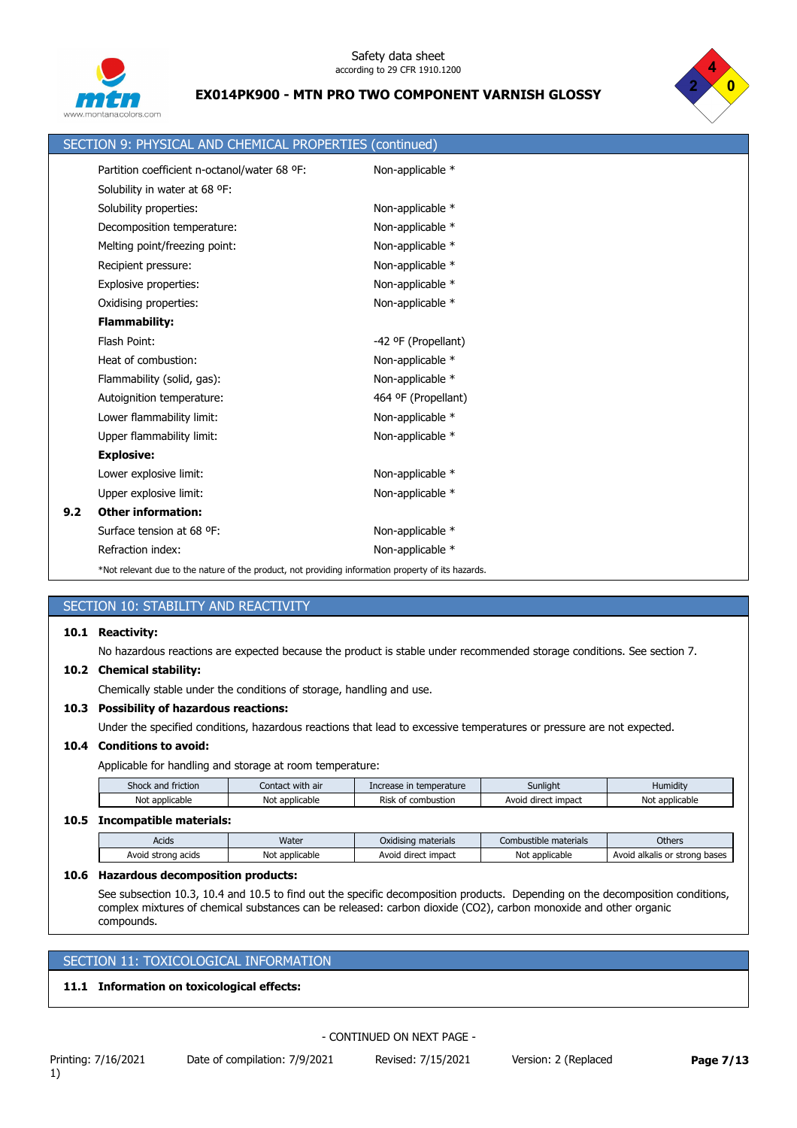



|     | SECTION 9: PHYSICAL AND CHEMICAL PROPERTIES (continued)                                            |                     |
|-----|----------------------------------------------------------------------------------------------------|---------------------|
|     | Partition coefficient n-octanol/water 68 °F:                                                       | Non-applicable *    |
|     | Solubility in water at 68 °F:                                                                      |                     |
|     | Solubility properties:                                                                             | Non-applicable *    |
|     | Decomposition temperature:                                                                         | Non-applicable *    |
|     | Melting point/freezing point:                                                                      | Non-applicable *    |
|     | Recipient pressure:                                                                                | Non-applicable *    |
|     | Explosive properties:                                                                              | Non-applicable *    |
|     | Oxidising properties:                                                                              | Non-applicable *    |
|     | <b>Flammability:</b>                                                                               |                     |
|     | Flash Point:                                                                                       | -42 ºF (Propellant) |
|     | Heat of combustion:                                                                                | Non-applicable *    |
|     | Flammability (solid, gas):                                                                         | Non-applicable *    |
|     | Autoignition temperature:                                                                          | 464 ºF (Propellant) |
|     | Lower flammability limit:                                                                          | Non-applicable *    |
|     | Upper flammability limit:                                                                          | Non-applicable *    |
|     | <b>Explosive:</b>                                                                                  |                     |
|     | Lower explosive limit:                                                                             | Non-applicable *    |
|     | Upper explosive limit:                                                                             | Non-applicable *    |
| 9.2 | <b>Other information:</b>                                                                          |                     |
|     | Surface tension at 68 °F:                                                                          | Non-applicable *    |
|     | Refraction index:                                                                                  | Non-applicable *    |
|     | *Not relevant due to the nature of the product, not providing information property of its hazards. |                     |

# SECTION 10: STABILITY AND REACTIVITY

#### **10.1 Reactivity:**

No hazardous reactions are expected because the product is stable under recommended storage conditions. See section 7.

#### **10.2 Chemical stability:**

Chemically stable under the conditions of storage, handling and use.

#### **10.3 Possibility of hazardous reactions:**

Under the specified conditions, hazardous reactions that lead to excessive temperatures or pressure are not expected.

#### **10.4 Conditions to avoid:**

Applicable for handling and storage at room temperature:

| $\mathbf{f}$<br>$\cdots$<br>hoc<br>and friction | <br>: with air<br>Lontact : | rease in temperature | Sunliaht               | $\cdots$<br>Humidity |
|-------------------------------------------------|-----------------------------|----------------------|------------------------|----------------------|
| : applicable<br>Noi                             | applicable<br>No            | Risk<br>combustion   | impact<br>Avc<br>direc | Not applicable       |

#### **10.5 Incompatible materials:**

| Acids              | Water               | Oxidising materials    | Combustible materials | Others                                             |
|--------------------|---------------------|------------------------|-----------------------|----------------------------------------------------|
| Avoid strong acids | No'<br>t applicable | impact<br>Avoid direct | Not applicable        | Avoid alkalis or<br>ı bases<br><sup>.</sup> strona |

#### **10.6 Hazardous decomposition products:**

See subsection 10.3, 10.4 and 10.5 to find out the specific decomposition products. Depending on the decomposition conditions, complex mixtures of chemical substances can be released: carbon dioxide (CO2), carbon monoxide and other organic compounds.

# SECTION 11: TOXICOLOGICAL INFORMATION

## **11.1 Information on toxicological effects:**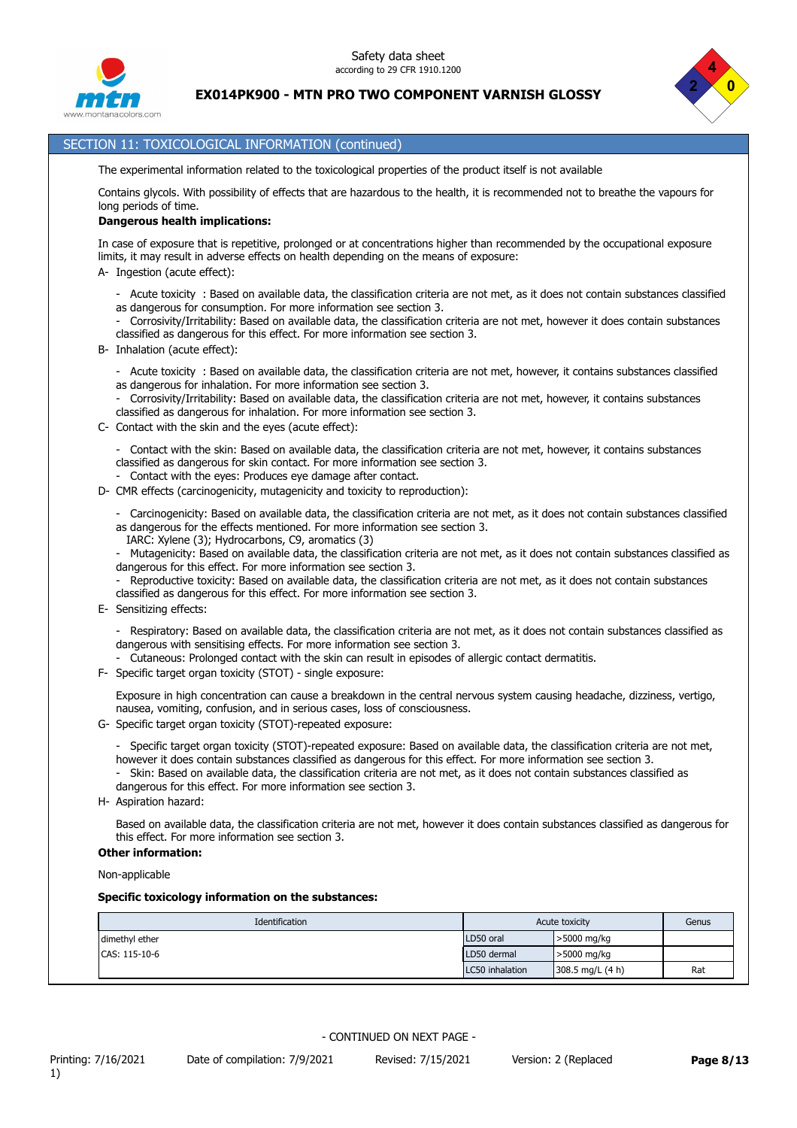



# SECTION 11: TOXICOLOGICAL INFORMATION (continued)

The experimental information related to the toxicological properties of the product itself is not available

Contains glycols. With possibility of effects that are hazardous to the health, it is recommended not to breathe the vapours for long periods of time.

#### **Dangerous health implications:**

In case of exposure that is repetitive, prolonged or at concentrations higher than recommended by the occupational exposure limits, it may result in adverse effects on health depending on the means of exposure:

A- Ingestion (acute effect):

- Acute toxicity : Based on available data, the classification criteria are not met, as it does not contain substances classified as dangerous for consumption. For more information see section 3.
- Corrosivity/Irritability: Based on available data, the classification criteria are not met, however it does contain substances classified as dangerous for this effect. For more information see section 3.
- B- Inhalation (acute effect):
	- Acute toxicity : Based on available data, the classification criteria are not met, however, it contains substances classified as dangerous for inhalation. For more information see section 3.

- Corrosivity/Irritability: Based on available data, the classification criteria are not met, however, it contains substances classified as dangerous for inhalation. For more information see section 3.

- C- Contact with the skin and the eyes (acute effect):
	- Contact with the skin: Based on available data, the classification criteria are not met, however, it contains substances classified as dangerous for skin contact. For more information see section 3.
	- Contact with the eyes: Produces eye damage after contact.
- D- CMR effects (carcinogenicity, mutagenicity and toxicity to reproduction):
	- Carcinogenicity: Based on available data, the classification criteria are not met, as it does not contain substances classified as dangerous for the effects mentioned. For more information see section 3.
	- IARC: Xylene (3); Hydrocarbons, C9, aromatics (3)
	- Mutagenicity: Based on available data, the classification criteria are not met, as it does not contain substances classified as dangerous for this effect. For more information see section 3.
	- Reproductive toxicity: Based on available data, the classification criteria are not met, as it does not contain substances classified as dangerous for this effect. For more information see section 3.
- E- Sensitizing effects:
	- Respiratory: Based on available data, the classification criteria are not met, as it does not contain substances classified as dangerous with sensitising effects. For more information see section 3.
	- Cutaneous: Prolonged contact with the skin can result in episodes of allergic contact dermatitis.
- F- Specific target organ toxicity (STOT) single exposure:

Exposure in high concentration can cause a breakdown in the central nervous system causing headache, dizziness, vertigo, nausea, vomiting, confusion, and in serious cases, loss of consciousness.

- G- Specific target organ toxicity (STOT)-repeated exposure:
	- Specific target organ toxicity (STOT)-repeated exposure: Based on available data, the classification criteria are not met, however it does contain substances classified as dangerous for this effect. For more information see section 3.
	- Skin: Based on available data, the classification criteria are not met, as it does not contain substances classified as dangerous for this effect. For more information see section 3.
- H- Aspiration hazard:

Based on available data, the classification criteria are not met, however it does contain substances classified as dangerous for this effect. For more information see section 3.

#### **Other information:**

Non-applicable

#### **Specific toxicology information on the substances:**

| Identification | Acute toxicity  | Genus                |     |
|----------------|-----------------|----------------------|-----|
| dimethyl ether | LD50 oral       | >5000 mg/kg          |     |
| CAS: 115-10-6  | LD50 dermal     | >5000 mg/kg          |     |
|                | LC50 inhalation | $308.5$ mg/L $(4 h)$ | Rat |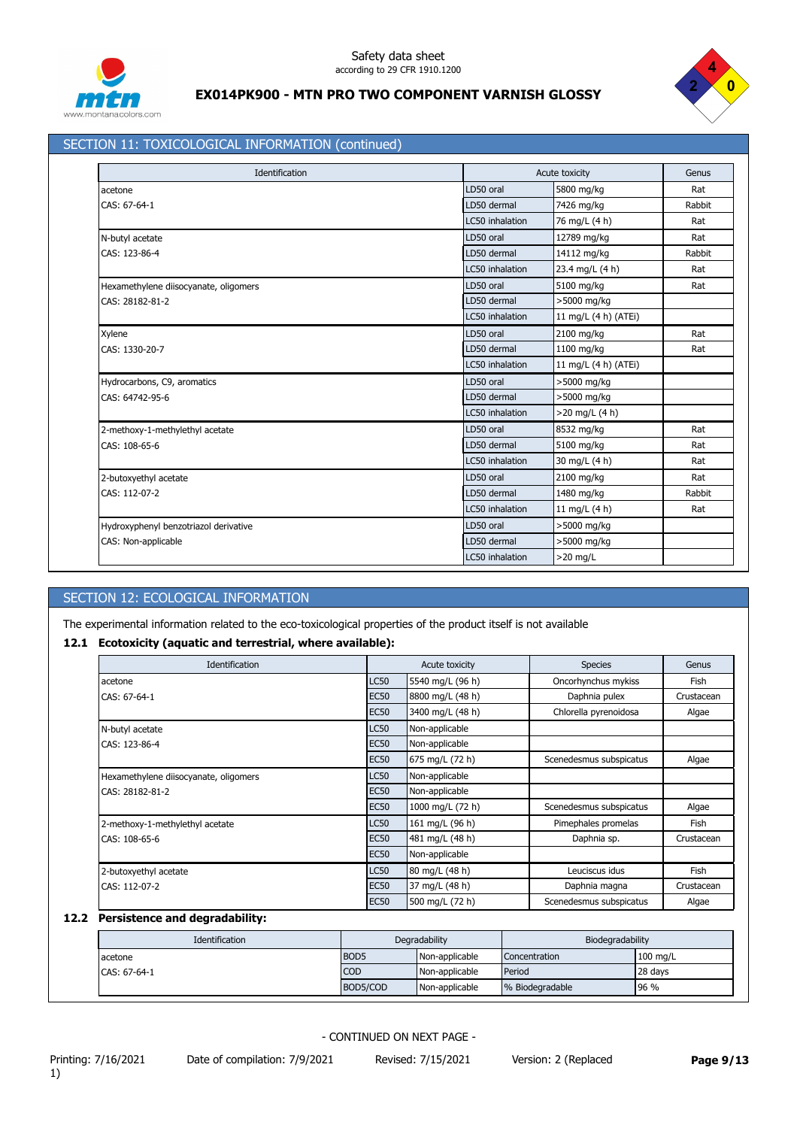



# SECTION 11: TOXICOLOGICAL INFORMATION (continued)

| Identification                        |                 | Acute toxicity       |        |  |
|---------------------------------------|-----------------|----------------------|--------|--|
| acetone                               | LD50 oral       | 5800 mg/kg           | Rat    |  |
| CAS: 67-64-1                          | LD50 dermal     | 7426 mg/kg           | Rabbit |  |
|                                       | LC50 inhalation | 76 mg/L (4 h)        | Rat    |  |
| N-butyl acetate                       | LD50 oral       | 12789 mg/kg          | Rat    |  |
| CAS: 123-86-4                         | LD50 dermal     | 14112 mg/kg          | Rabbit |  |
|                                       | LC50 inhalation | 23.4 mg/L (4 h)      | Rat    |  |
| Hexamethylene diisocyanate, oligomers | LD50 oral       | 5100 mg/kg           | Rat    |  |
| CAS: 28182-81-2                       | LD50 dermal     | >5000 mg/kg          |        |  |
|                                       | LC50 inhalation | 11 mg/L (4 h) (ATEi) |        |  |
| Xylene                                | LD50 oral       | 2100 mg/kg           | Rat    |  |
| CAS: 1330-20-7                        | LD50 dermal     | 1100 mg/kg           | Rat    |  |
|                                       | LC50 inhalation | 11 mg/L (4 h) (ATEi) |        |  |
| Hydrocarbons, C9, aromatics           | LD50 oral       | >5000 mg/kg          |        |  |
| CAS: 64742-95-6                       | LD50 dermal     | >5000 mg/kg          |        |  |
|                                       | LC50 inhalation | $>20$ mg/L (4 h)     |        |  |
| 2-methoxy-1-methylethyl acetate       | LD50 oral       | 8532 mg/kg           | Rat    |  |
| CAS: 108-65-6                         | LD50 dermal     | 5100 mg/kg           | Rat    |  |
|                                       | LC50 inhalation | 30 mg/L (4 h)        | Rat    |  |
| 2-butoxyethyl acetate                 | LD50 oral       | 2100 mg/kg           | Rat    |  |
| CAS: 112-07-2                         | LD50 dermal     | 1480 mg/kg           | Rabbit |  |
|                                       | LC50 inhalation | 11 mg/L (4 h)        | Rat    |  |
| Hydroxyphenyl benzotriazol derivative | LD50 oral       | >5000 mg/kg          |        |  |
| CAS: Non-applicable                   | LD50 dermal     | >5000 mg/kg          |        |  |
|                                       | LC50 inhalation | $>20$ mg/L           |        |  |

# SECTION 12: ECOLOGICAL INFORMATION

The experimental information related to the eco-toxicological properties of the product itself is not available

# **12.1 Ecotoxicity (aquatic and terrestrial, where available):**

| Identification                        |             | Acute toxicity   | <b>Species</b>          | Genus       |
|---------------------------------------|-------------|------------------|-------------------------|-------------|
| acetone                               | <b>LC50</b> | 5540 mg/L (96 h) | Oncorhynchus mykiss     | Fish        |
| CAS: 67-64-1                          | <b>EC50</b> | 8800 mg/L (48 h) | Daphnia pulex           | Crustacean  |
|                                       | <b>EC50</b> | 3400 mg/L (48 h) | Chlorella pyrenoidosa   | Algae       |
| N-butyl acetate                       | <b>LC50</b> | Non-applicable   |                         |             |
| CAS: 123-86-4                         | <b>EC50</b> | Non-applicable   |                         |             |
|                                       | <b>EC50</b> | 675 mg/L (72 h)  | Scenedesmus subspicatus | Algae       |
| Hexamethylene diisocyanate, oligomers | <b>LC50</b> | Non-applicable   |                         |             |
| CAS: 28182-81-2                       | <b>EC50</b> | Non-applicable   |                         |             |
|                                       | <b>EC50</b> | 1000 mg/L (72 h) | Scenedesmus subspicatus | Algae       |
| 2-methoxy-1-methylethyl acetate       | <b>LC50</b> | 161 mg/L (96 h)  | Pimephales promelas     | <b>Fish</b> |
| CAS: 108-65-6                         | <b>EC50</b> | 481 mg/L (48 h)  | Daphnia sp.             | Crustacean  |
|                                       | <b>EC50</b> | Non-applicable   |                         |             |
| 2-butoxyethyl acetate                 | <b>LC50</b> | 80 mg/L (48 h)   | Leuciscus idus          | Fish        |
| CAS: 112-07-2                         | <b>EC50</b> | 37 mg/L (48 h)   | Daphnia magna           | Crustacean  |
|                                       | <b>EC50</b> | 500 mg/L (72 h)  | Scenedesmus subspicatus | Algae       |

# **12.2 Persistence and degradability:**

| Identification | Degradability    |                | Biodegradability |            |
|----------------|------------------|----------------|------------------|------------|
| acetone        | BOD <sub>5</sub> | Non-applicable | Concentration    | $100$ mg/L |
| CAS: 67-64-1   | <b>COD</b>       | Non-applicable | Period           | 28 days    |
|                | BOD5/COD         | Non-applicable | % Biodegradable  | 196%       |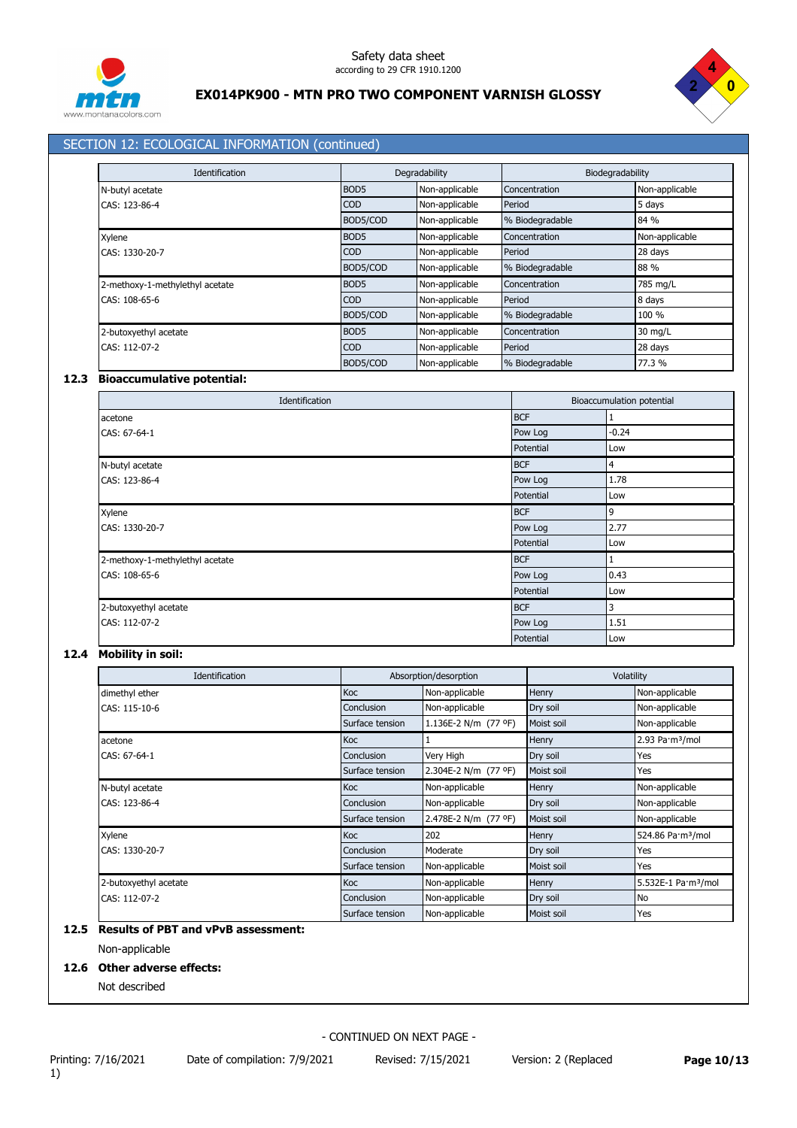



# SECTION 12: ECOLOGICAL INFORMATION (continued)

| <b>Identification</b>           |                  | Degradability  |                 | Biodegradability |  |
|---------------------------------|------------------|----------------|-----------------|------------------|--|
| N-butyl acetate                 | BOD <sub>5</sub> | Non-applicable | Concentration   | Non-applicable   |  |
| CAS: 123-86-4                   | <b>COD</b>       | Non-applicable | Period          | 5 days           |  |
|                                 | BOD5/COD         | Non-applicable | % Biodegradable | 84 %             |  |
| Xylene                          | BOD <sub>5</sub> | Non-applicable | Concentration   | Non-applicable   |  |
| CAS: 1330-20-7                  | <b>COD</b>       | Non-applicable | Period          | 28 days          |  |
|                                 | BOD5/COD         | Non-applicable | % Biodegradable | 88 %             |  |
| 2-methoxy-1-methylethyl acetate | BOD <sub>5</sub> | Non-applicable | Concentration   | 785 mg/L         |  |
| CAS: 108-65-6                   | <b>COD</b>       | Non-applicable | Period          | 8 days           |  |
|                                 | BOD5/COD         | Non-applicable | % Biodegradable | 100 %            |  |
| 2-butoxyethyl acetate           | BOD <sub>5</sub> | Non-applicable | Concentration   | 30 mg/L          |  |
| CAS: 112-07-2                   | <b>COD</b>       | Non-applicable | Period          | 28 days          |  |
|                                 | BOD5/COD         | Non-applicable | % Biodegradable | 77.3 %           |  |

#### **12.3 Bioaccumulative potential:**

| Identification                  |            | Bioaccumulation potential |
|---------------------------------|------------|---------------------------|
| acetone                         | <b>BCF</b> |                           |
| CAS: 67-64-1                    | Pow Log    | $-0.24$                   |
|                                 | Potential  | Low                       |
| N-butyl acetate                 | <b>BCF</b> | $\overline{4}$            |
| CAS: 123-86-4                   | Pow Log    | 1.78                      |
|                                 | Potential  | Low                       |
| Xylene                          | <b>BCF</b> | 9                         |
| CAS: 1330-20-7                  | Pow Log    | 2.77                      |
|                                 | Potential  | Low                       |
| 2-methoxy-1-methylethyl acetate | <b>BCF</b> |                           |
| CAS: 108-65-6                   | Pow Log    | 0.43                      |
|                                 | Potential  | Low                       |
| 2-butoxyethyl acetate           | <b>BCF</b> | 3                         |
| CAS: 112-07-2                   | Pow Log    | 1.51                      |
|                                 | Potential  | Low                       |

# **12.4 Mobility in soil:**

| Identification        |                 | Absorption/desorption |            | Volatility                      |  |
|-----------------------|-----------------|-----------------------|------------|---------------------------------|--|
| dimethyl ether        | Koc             | Non-applicable        | Henry      | Non-applicable                  |  |
| CAS: 115-10-6         | Conclusion      | Non-applicable        | Dry soil   | Non-applicable                  |  |
|                       | Surface tension | 1.136E-2 N/m (77 °F)  | Moist soil | Non-applicable                  |  |
| acetone               | <b>Koc</b>      |                       | Henry      | 2.93 Pa·m <sup>3</sup> /mol     |  |
| CAS: 67-64-1          | Conclusion      | Very High             | Dry soil   | Yes                             |  |
|                       | Surface tension | 2.304E-2 N/m (77 °F)  | Moist soil | Yes                             |  |
| N-butyl acetate       | <b>Koc</b>      | Non-applicable        | Henry      | Non-applicable                  |  |
| CAS: 123-86-4         | Conclusion      | Non-applicable        | Dry soil   | Non-applicable                  |  |
|                       | Surface tension | 2.478E-2 N/m (77 °F)  | Moist soil | Non-applicable                  |  |
| Xylene                | <b>Koc</b>      | 202                   | Henry      | 524.86 Pa·m <sup>3</sup> /mol   |  |
| CAS: 1330-20-7        | Conclusion      | Moderate              | Dry soil   | Yes                             |  |
|                       | Surface tension | Non-applicable        | Moist soil | Yes                             |  |
| 2-butoxyethyl acetate | Koc             | Non-applicable        | Henry      | 5.532E-1 Pa·m <sup>3</sup> /mol |  |
| CAS: 112-07-2         | Conclusion      | Non-applicable        | Dry soil   | No                              |  |
|                       | Surface tension | Non-applicable        | Moist soil | Yes                             |  |

# **12.5 Results of PBT and vPvB assessment:**

Non-applicable

# **12.6 Other adverse effects:**

Not described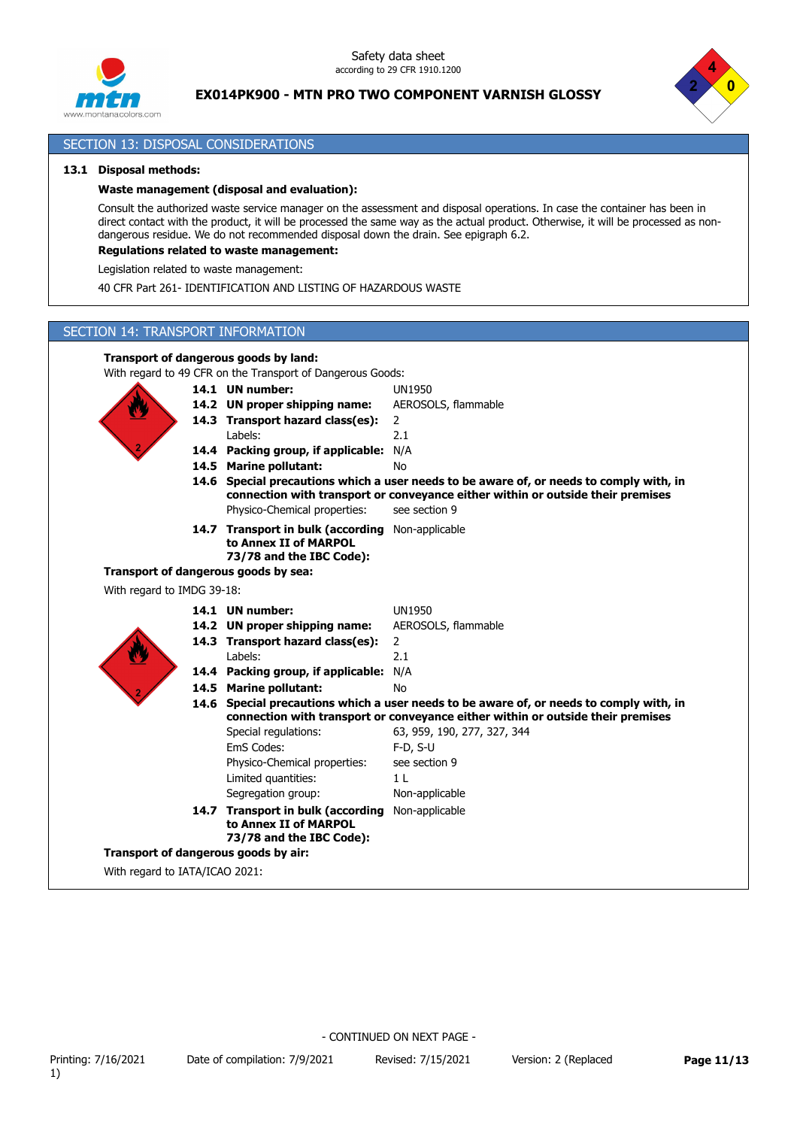



#### SECTION 13: DISPOSAL CONSIDERATIONS

#### **13.1 Disposal methods:**

#### **Waste management (disposal and evaluation):**

Consult the authorized waste service manager on the assessment and disposal operations. In case the container has been in direct contact with the product, it will be processed the same way as the actual product. Otherwise, it will be processed as nondangerous residue. We do not recommended disposal down the drain. See epigraph 6.2.

# **Regulations related to waste management:**

Legislation related to waste management:

40 CFR Part 261- IDENTIFICATION AND LISTING OF HAZARDOUS WASTE

# SECTION 14: TRANSPORT INFORMATION

#### **Transport of dangerous goods by land:**

With regard to 49 CFR on the Transport of Dangerous Goods:

|                                | 14.1 UN number:                                                                                       | <b>UN1950</b>                                                                                                                                                              |
|--------------------------------|-------------------------------------------------------------------------------------------------------|----------------------------------------------------------------------------------------------------------------------------------------------------------------------------|
|                                | 14.2 UN proper shipping name:                                                                         | AEROSOLS, flammable                                                                                                                                                        |
|                                | 14.3 Transport hazard class(es):                                                                      | $\overline{2}$                                                                                                                                                             |
|                                | Labels:                                                                                               | 2.1                                                                                                                                                                        |
|                                | 14.4 Packing group, if applicable: N/A                                                                |                                                                                                                                                                            |
|                                | 14.5 Marine pollutant:                                                                                | <b>No</b>                                                                                                                                                                  |
|                                |                                                                                                       | 14.6 Special precautions which a user needs to be aware of, or needs to comply with, in<br>connection with transport or conveyance either within or outside their premises |
|                                | Physico-Chemical properties:                                                                          | see section 9                                                                                                                                                              |
|                                | 14.7 Transport in bulk (according Non-applicable<br>to Annex II of MARPOL<br>73/78 and the IBC Code): |                                                                                                                                                                            |
|                                | Transport of dangerous goods by sea:                                                                  |                                                                                                                                                                            |
| With regard to IMDG 39-18:     |                                                                                                       |                                                                                                                                                                            |
|                                | 14.1 UN number:                                                                                       | <b>UN1950</b>                                                                                                                                                              |
|                                | 14.2 UN proper shipping name:                                                                         | AEROSOLS, flammable                                                                                                                                                        |
|                                | 14.3 Transport hazard class(es):                                                                      | $\overline{2}$                                                                                                                                                             |
|                                | Labels:                                                                                               | 2.1                                                                                                                                                                        |
|                                | 14.4 Packing group, if applicable: N/A                                                                |                                                                                                                                                                            |
|                                | 14.5 Marine pollutant:                                                                                | <b>No</b>                                                                                                                                                                  |
|                                |                                                                                                       | 14.6 Special precautions which a user needs to be aware of, or needs to comply with, in                                                                                    |
|                                |                                                                                                       | connection with transport or conveyance either within or outside their premises                                                                                            |
|                                | Special regulations:                                                                                  | 63, 959, 190, 277, 327, 344                                                                                                                                                |
|                                | EmS Codes:                                                                                            | $F-D, S-U$                                                                                                                                                                 |
|                                | Physico-Chemical properties:                                                                          | see section 9                                                                                                                                                              |
|                                | Limited quantities:                                                                                   | 1 <sub>L</sub>                                                                                                                                                             |
|                                | Segregation group:                                                                                    | Non-applicable                                                                                                                                                             |
|                                | 14.7 Transport in bulk (according<br>to Annex II of MARPOL<br>73/78 and the IBC Code):                | Non-applicable                                                                                                                                                             |
|                                | Transport of dangerous goods by air:                                                                  |                                                                                                                                                                            |
| With regard to IATA/ICAO 2021: |                                                                                                       |                                                                                                                                                                            |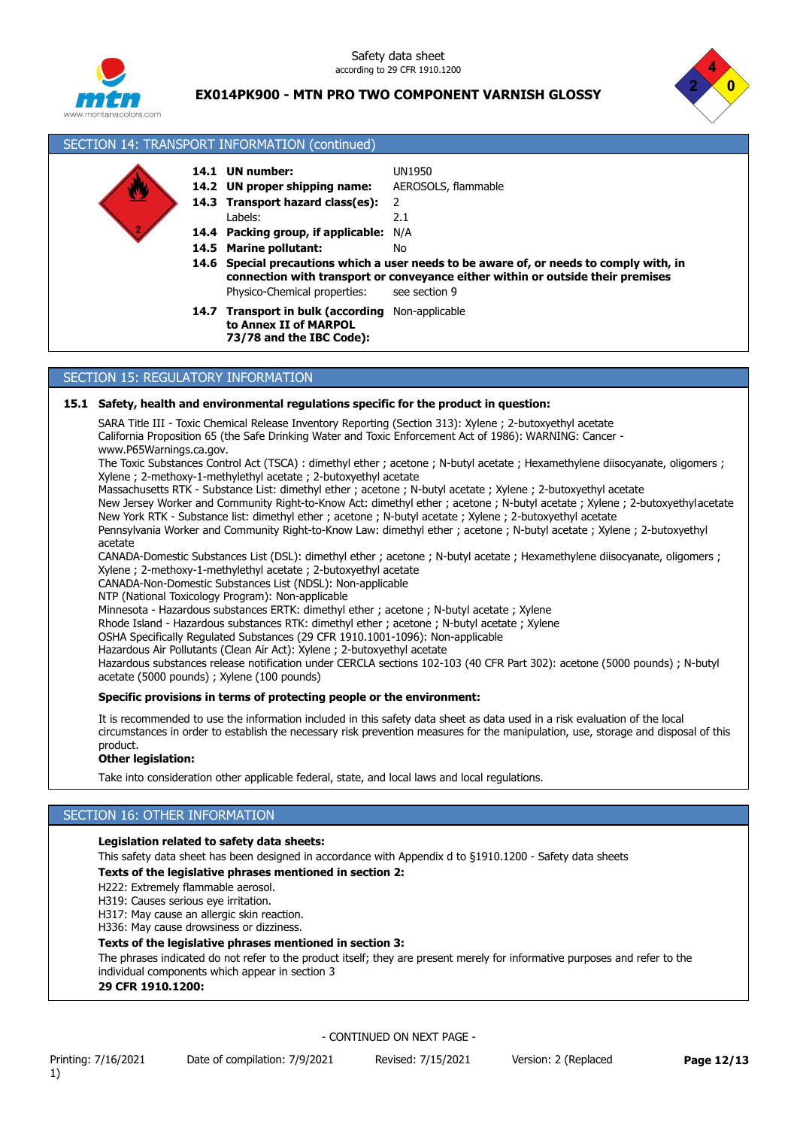Safety data sheet according to 29 CFR 1910.1200



# **EX014PK900 - MTN PRO TWO COMPONENT VARNISH GLOSSY**



# SECTION 14: TRANSPORT INFORMATION (continued)

**14.6 Special precautions which a user needs to be aware of, or needs to comply with, in 14.4 Packing group, if applicable:** N/A **14.3 Transport hazard class(es):** 2 **14.2 UN proper shipping name:** AEROSOLS, flammable **14.1 UN number:** UN1950 Physico-Chemical properties: see section 9 Labels: 2.1 **14.5 Marine pollutant:** No 14.7 Transport in bulk (according Non-applicable **to Annex II of MARPOL 73/78 and the IBC Code): connection with transport or conveyance either within or outside their premises**

## SECTION 15: REGULATORY INFORMATION

#### **15.1 Safety, health and environmental regulations specific for the product in question:**

SARA Title III - Toxic Chemical Release Inventory Reporting (Section 313): Xylene ; 2-butoxyethyl acetate California Proposition 65 (the Safe Drinking Water and Toxic Enforcement Act of 1986): WARNING: Cancer -

www.P65Warnings.ca.gov.

The Toxic Substances Control Act (TSCA) : dimethyl ether ; acetone ; N-butyl acetate ; Hexamethylene diisocyanate, oligomers ; Xylene ; 2-methoxy-1-methylethyl acetate ; 2-butoxyethyl acetate

Massachusetts RTK - Substance List: dimethyl ether ; acetone ; N-butyl acetate ; Xylene ; 2-butoxyethyl acetate

New Jersey Worker and Community Right-to-Know Act: dimethyl ether ; acetone ; N-butyl acetate ; Xylene ; 2-butoxyethylacetate New York RTK - Substance list: dimethyl ether ; acetone ; N-butyl acetate ; Xylene ; 2-butoxyethyl acetate

Pennsylvania Worker and Community Right-to-Know Law: dimethyl ether ; acetone ; N-butyl acetate ; Xylene ; 2-butoxyethyl acetate

CANADA-Domestic Substances List (DSL): dimethyl ether ; acetone ; N-butyl acetate ; Hexamethylene diisocyanate, oligomers ; Xylene ; 2-methoxy-1-methylethyl acetate ; 2-butoxyethyl acetate

CANADA-Non-Domestic Substances List (NDSL): Non-applicable

NTP (National Toxicology Program): Non-applicable

Minnesota - Hazardous substances ERTK: dimethyl ether ; acetone ; N-butyl acetate ; Xylene

Rhode Island - Hazardous substances RTK: dimethyl ether ; acetone ; N-butyl acetate ; Xylene

OSHA Specifically Regulated Substances (29 CFR 1910.1001-1096): Non-applicable

Hazardous Air Pollutants (Clean Air Act): Xylene ; 2-butoxyethyl acetate

Hazardous substances release notification under CERCLA sections 102-103 (40 CFR Part 302): acetone (5000 pounds) ; N-butyl acetate (5000 pounds) ; Xylene (100 pounds)

#### **Specific provisions in terms of protecting people or the environment:**

It is recommended to use the information included in this safety data sheet as data used in a risk evaluation of the local circumstances in order to establish the necessary risk prevention measures for the manipulation, use, storage and disposal of this product.

#### **Other legislation:**

Take into consideration other applicable federal, state, and local laws and local regulations.

## SECTION 16: OTHER INFORMATION

#### **Legislation related to safety data sheets:**

This safety data sheet has been designed in accordance with Appendix d to §1910.1200 - Safety data sheets **Texts of the legislative phrases mentioned in section 2:**

H222: Extremely flammable aerosol.

H319: Causes serious eye irritation.

H317: May cause an allergic skin reaction. H336: May cause drowsiness or dizziness.

# **Texts of the legislative phrases mentioned in section 3:**

The phrases indicated do not refer to the product itself; they are present merely for informative purposes and refer to the individual components which appear in section 3

#### **29 CFR 1910.1200:**